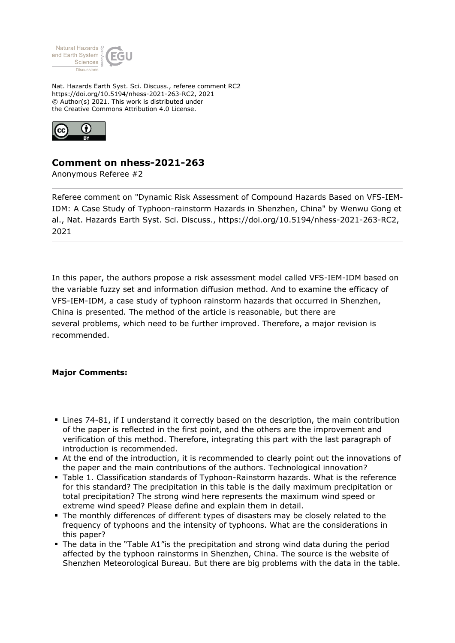

Nat. Hazards Earth Syst. Sci. Discuss., referee comment RC2 https://doi.org/10.5194/nhess-2021-263-RC2, 2021 © Author(s) 2021. This work is distributed under the Creative Commons Attribution 4.0 License.



## **Comment on nhess-2021-263**

Anonymous Referee #2

Referee comment on "Dynamic Risk Assessment of Compound Hazards Based on VFS-IEM-IDM: A Case Study of Typhoon-rainstorm Hazards in Shenzhen, China" by Wenwu Gong et al., Nat. Hazards Earth Syst. Sci. Discuss., https://doi.org/10.5194/nhess-2021-263-RC2, 2021

In this paper, the authors propose a risk assessment model called VFS-IEM-IDM based on the variable fuzzy set and information diffusion method. And to examine the efficacy of VFS-IEM-IDM, a case study of typhoon rainstorm hazards that occurred in Shenzhen, China is presented. The method of the article is reasonable, but there are several problems, which need to be further improved. Therefore, a major revision is recommended.

## **Major Comments:**

- Lines 74-81, if I understand it correctly based on the description, the main contribution of the paper is reflected in the first point, and the others are the improvement and verification of this method. Therefore, integrating this part with the last paragraph of introduction is recommended.
- At the end of the introduction, it is recommended to clearly point out the innovations of the paper and the main contributions of the authors. Technological innovation?
- Table 1. Classification standards of Typhoon-Rainstorm hazards. What is the reference for this standard? The precipitation in this table is the daily maximum precipitation or total precipitation? The strong wind here represents the maximum wind speed or extreme wind speed? Please define and explain them in detail.
- The monthly differences of different types of disasters may be closely related to the frequency of typhoons and the intensity of typhoons. What are the considerations in this paper?
- The data in the "Table A1"is the precipitation and strong wind data during the period affected by the typhoon rainstorms in Shenzhen, China. The source is the website of Shenzhen Meteorological Bureau. But there are big problems with the data in the table.